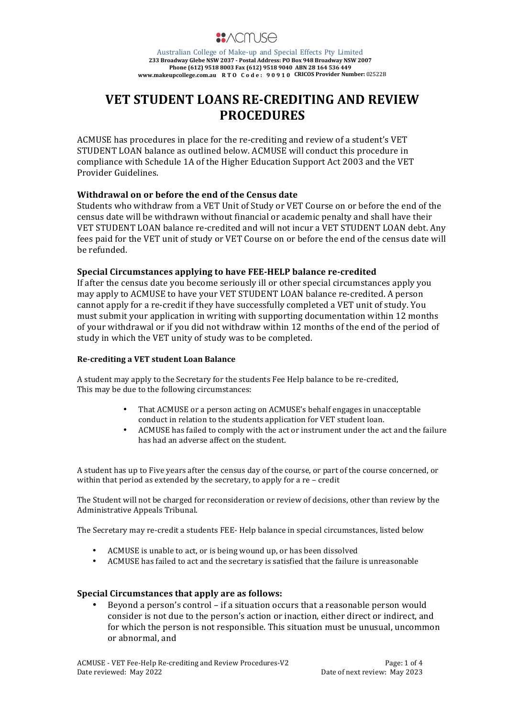

# **VET STUDENT LOANS RE-CREDITING AND REVIEW PROCEDURES**

ACMUSE has procedures in place for the re-crediting and review of a student's VET STUDENT LOAN balance as outlined below. ACMUSE will conduct this procedure in compliance with Schedule 1A of the Higher Education Support Act 2003 and the VET Provider Guidelines.

# Withdrawal on or hefore the end of the Census date

Students who withdraw from a VET Unit of Study or VET Course on or before the end of the census date will be withdrawn without financial or academic penalty and shall have their VET STUDENT LOAN balance re-credited and will not incur a VET STUDENT LOAN debt. Any fees paid for the VET unit of study or VET Course on or before the end of the census date will be refunded.

### **Special Circumstances applying to have FEE-HELP balance re-credited**

If after the census date you become seriously ill or other special circumstances apply you may apply to ACMUSE to have your VET STUDENT LOAN balance re-credited. A person cannot apply for a re-credit if they have successfully completed a VET unit of study. You must submit your application in writing with supporting documentation within 12 months of your withdrawal or if you did not withdraw within 12 months of the end of the period of study in which the VET unity of study was to be completed.

### **Re-crediting a VET student Loan Balance**

A student may apply to the Secretary for the students Fee Help balance to be re-credited, This may be due to the following circumstances:

- That ACMUSE or a person acting on ACMUSE's behalf engages in unacceptable conduct in relation to the students application for VET student loan.
- ACMUSE has failed to comply with the act or instrument under the act and the failure has had an adverse affect on the student.

A student has up to Five years after the census day of the course, or part of the course concerned, or within that period as extended by the secretary, to apply for a re  $-$  credit

The Student will not be charged for reconsideration or review of decisions, other than review by the Administrative Appeals Tribunal.

The Secretary may re-credit a students FEE- Help balance in special circumstances, listed below

- ACMUSE is unable to act, or is being wound up, or has been dissolved
- ACMUSE has failed to act and the secretary is satisfied that the failure is unreasonable

### **Special Circumstances that apply are as follows:**

Beyond a person's control  $-$  if a situation occurs that a reasonable person would consider is not due to the person's action or inaction, either direct or indirect, and for which the person is not responsible. This situation must be unusual, uncommon or abnormal, and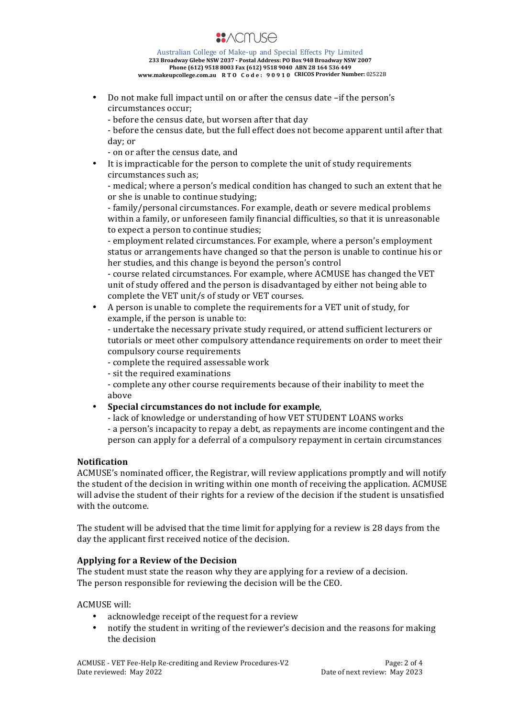

Do not make full impact until on or after the census date –if the person's circumstances occur;

- before the census date, but worsen after that day

- before the census date, but the full effect does not become apparent until after that day; or

- on or after the census date, and

It is impracticable for the person to complete the unit of study requirements circumstances such as;

- medical; where a person's medical condition has changed to such an extent that he or she is unable to continue studying;

- family/personal circumstances. For example, death or severe medical problems within a family, or unforeseen family financial difficulties, so that it is unreasonable to expect a person to continue studies;

- employment related circumstances. For example, where a person's employment status or arrangements have changed so that the person is unable to continue his or her studies, and this change is beyond the person's control

- course related circumstances. For example, where ACMUSE has changed the VET unit of study offered and the person is disadvantaged by either not being able to complete the VET unit/s of study or VET courses.

A person is unable to complete the requirements for a VET unit of study, for example, if the person is unable to:

- undertake the necessary private study required, or attend sufficient lecturers or tutorials or meet other compulsory attendance requirements on order to meet their compulsory course requirements

- complete the required assessable work
- sit the required examinations

- complete any other course requirements because of their inability to meet the above

# • **Special circumstances do not include for example**,

- lack of knowledge or understanding of how VET STUDENT LOANS works

- a person's incapacity to repay a debt, as repayments are income contingent and the person can apply for a deferral of a compulsory repayment in certain circumstances

### **Notification**

ACMUSE's nominated officer, the Registrar, will review applications promptly and will notify the student of the decision in writing within one month of receiving the application. ACMUSE will advise the student of their rights for a review of the decision if the student is unsatisfied with the outcome.

The student will be advised that the time limit for applying for a review is 28 days from the day the applicant first received notice of the decision.

# Applying for a Review of the Decision

The student must state the reason why they are applying for a review of a decision. The person responsible for reviewing the decision will be the CEO.

ACMUSE will:

- acknowledge receipt of the request for a review
- notify the student in writing of the reviewer's decision and the reasons for making the decision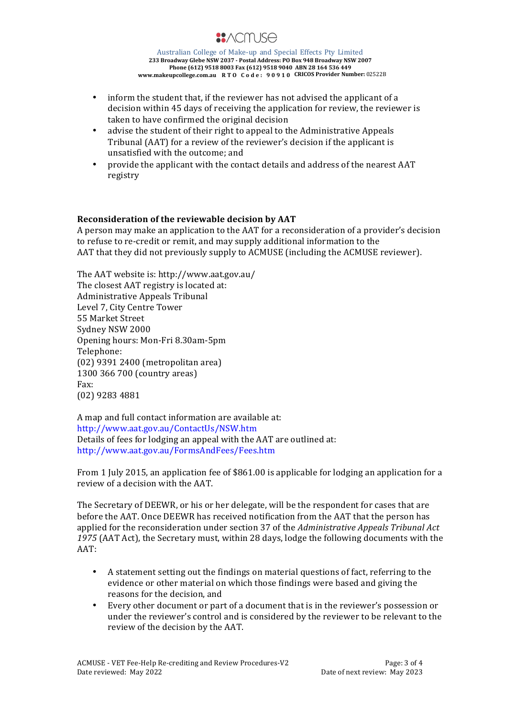

- inform the student that, if the reviewer has not advised the applicant of a decision within 45 days of receiving the application for review, the reviewer is taken to have confirmed the original decision
- advise the student of their right to appeal to the Administrative Appeals Tribunal (AAT) for a review of the reviewer's decision if the applicant is unsatisfied with the outcome; and
- provide the applicant with the contact details and address of the nearest AAT registry

# **Reconsideration of the reviewable decision by AAT**

A person may make an application to the AAT for a reconsideration of a provider's decision to refuse to re-credit or remit, and may supply additional information to the AAT that they did not previously supply to ACMUSE (including the ACMUSE reviewer).

The AAT website is: http://www.aat.gov.au/ The closest AAT registry is located at: Administrative Appeals Tribunal Level 7, City Centre Tower 55 Market Street Sydney NSW 2000 Opening hours: Mon-Fri 8.30am-5pm Telephone: (02) 9391 2400 (metropolitan area) 1300 366 700 (country areas) Fax: (02) 9283 4881

A map and full contact information are available at: http://www.aat.gov.au/ContactUs/NSW.htm Details of fees for lodging an appeal with the AAT are outlined at: http://www.aat.gov.au/FormsAndFees/Fees.htm

From 1 July 2015, an application fee of \$861.00 is applicable for lodging an application for a review of a decision with the AAT.

The Secretary of DEEWR, or his or her delegate, will be the respondent for cases that are before the AAT. Once DEEWR has received notification from the AAT that the person has applied for the reconsideration under section 37 of the *Administrative Appeals Tribunal Act* 1975 (AAT Act), the Secretary must, within 28 days, lodge the following documents with the AAT:

- A statement setting out the findings on material questions of fact, referring to the evidence or other material on which those findings were based and giving the reasons for the decision, and
- Every other document or part of a document that is in the reviewer's possession or under the reviewer's control and is considered by the reviewer to be relevant to the review of the decision by the AAT.